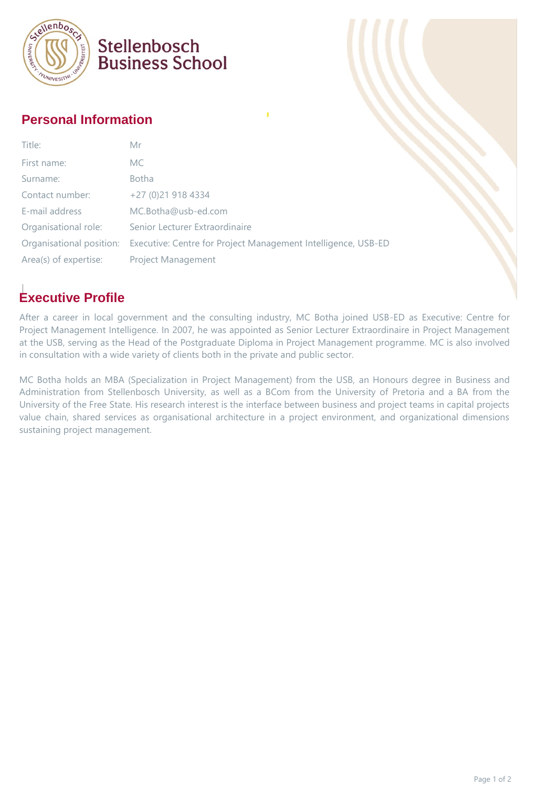

## Stellenbosch **Business School**

#### **Personal Information**

| Title:                   | Mr                                                            |
|--------------------------|---------------------------------------------------------------|
| First name:              | MC.                                                           |
| Surname:                 | <b>Botha</b>                                                  |
| Contact number:          | +27 (0)21 918 4334                                            |
| E-mail address           | MC.Botha@usb-ed.com                                           |
| Organisational role:     | Senior Lecturer Extraordinaire                                |
| Organisational position: | Executive: Centre for Project Management Intelligence, USB-ED |
| Area(s) of expertise:    | <b>Project Management</b>                                     |

## **Executive Profile**

After a career in local government and the consulting industry, MC Botha joined USB-ED as Executive: Centre for Project Management Intelligence. In 2007, he was appointed as Senior Lecturer Extraordinaire in Project Management at the USB, serving as the Head of the Postgraduate Diploma in Project Management programme. MC is also involved in consultation with a wide variety of clients both in the private and public sector.

MC Botha holds an MBA (Specialization in Project Management) from the USB, an Honours degree in Business and Administration from Stellenbosch University, as well as a BCom from the University of Pretoria and a BA from the University of the Free State. His research interest is the interface between business and project teams in capital projects value chain, shared services as organisational architecture in a project environment, and organizational dimensions sustaining project management.